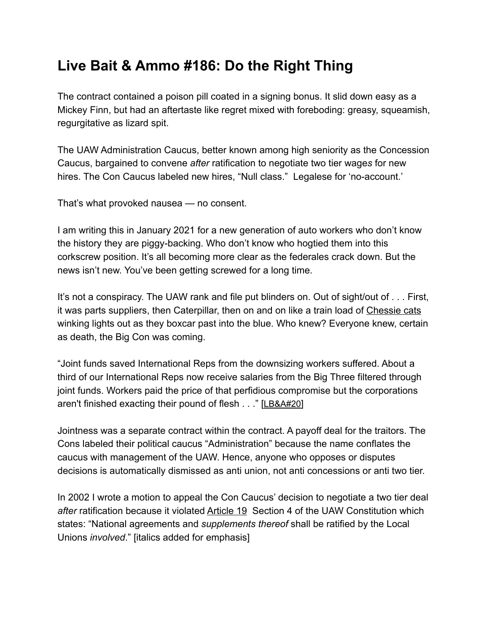## **Live Bait & Ammo #186: Do the Right Thing**

The contract contained a poison pill coated in a signing bonus. It slid down easy as a Mickey Finn, but had an aftertaste like regret mixed with foreboding: greasy, squeamish, regurgitative as lizard spit.

The UAW Administration Caucus, better known among high seniority as the Concession Caucus, bargained to convene *after* ratification to negotiate two tier wage*s* for new hires. The Con Caucus labeled new hires, "Null class." Legalese for 'no-account.'

That's what provoked nausea — no consent.

I am writing this in January 2021 for a new generation of auto workers who don't know the history they are piggy-backing. Who don't know who hogtied them into this corkscrew position. It's all becoming more clear as the federales crack down. But the news isn't new. You've been getting screwed for a long time.

It's not a conspiracy. The UAW rank and file put blinders on. Out of sight/out of . . . First, it was parts suppliers, then Caterpillar, then on and on like a train load of Chessie cats winking lights out as they boxcar past into the blue. Who knew? Everyone knew, certain as death, the Big Con was coming.

"Joint funds saved International Reps from the downsizing workers suffered. About a third of our International Reps now receive salaries from the Big Three filtered through joint funds. Workers paid the price of that perfidious compromise but the corporations aren't finished exacting their pound of flesh . . ." [\[LB&A#20\]](https://e422812a-70b1-4c3b-9177-fb50136a76a4.filesusr.com/ugd/4de7c5_f3c5827d77124c339b2d0260b786bd4b.pdf)

Jointness was a separate contract within the contract. A payoff deal for the traitors. The Cons labeled their political caucus "Administration" because the name conflates the caucus with management of the UAW. Hence, anyone who opposes or disputes decisions is automatically dismissed as anti union, not anti concessions or anti two tier.

In 2002 I wrote a motion to appeal the Con Caucus' decision to negotiate a two tier deal *after* ratification because it violated [Article 19](https://uaw.org/wp-content/uploads/2019/01/2018-UAW-Constitution.pdf) Section 4 of the UAW Constitution which states: "National agreements and *supplements thereof* shall be ratified by the Local Unions *involved*." [italics added for emphasis]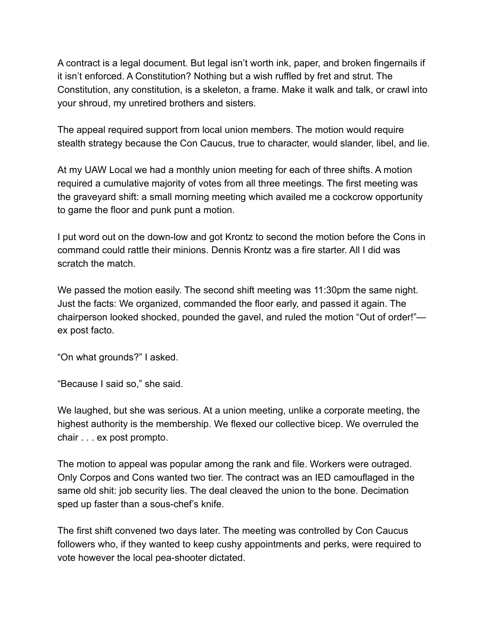A contract is a legal document. But legal isn't worth ink, paper, and broken fingernails if it isn't enforced. A Constitution? Nothing but a wish ruffled by fret and strut. The Constitution, any constitution, is a skeleton, a frame. Make it walk and talk, or crawl into your shroud, my unretired brothers and sisters.

The appeal required support from local union members. The motion would require stealth strategy because the Con Caucus, true to character, would slander, libel, and lie.

At my UAW Local we had a monthly union meeting for each of three shifts. A motion required a cumulative majority of votes from all three meetings. The first meeting was the graveyard shift: a small morning meeting which availed me a cockcrow opportunity to game the floor and punk punt a motion.

I put word out on the down-low and got Krontz to second the motion before the Cons in command could rattle their minions. Dennis Krontz was a fire starter. All I did was scratch the match.

We passed the motion easily. The second shift meeting was 11:30pm the same night. Just the facts: We organized, commanded the floor early, and passed it again. The chairperson looked shocked, pounded the gavel, and ruled the motion "Out of order!" ex post facto.

"On what grounds?" I asked.

"Because I said so," she said.

We laughed, but she was serious. At a union meeting, unlike a corporate meeting, the highest authority is the membership. We flexed our collective bicep. We overruled the chair . . . ex post prompto.

The motion to appeal was popular among the rank and file. Workers were outraged. Only Corpos and Cons wanted two tier. The contract was an IED camouflaged in the same old shit: job security lies. The deal cleaved the union to the bone. Decimation sped up faster than a sous-chef's knife.

The first shift convened two days later. The meeting was controlled by Con Caucus followers who, if they wanted to keep cushy appointments and perks, were required to vote however the local pea-shooter dictated.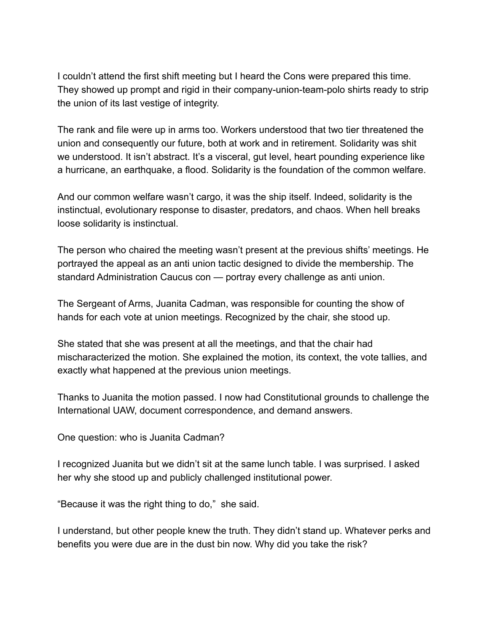I couldn't attend the first shift meeting but I heard the Cons were prepared this time. They showed up prompt and rigid in their company-union-team-polo shirts ready to strip the union of its last vestige of integrity.

The rank and file were up in arms too. Workers understood that two tier threatened the union and consequently our future, both at work and in retirement. Solidarity was shit we understood. It isn't abstract. It's a visceral, gut level, heart pounding experience like a hurricane, an earthquake, a flood. Solidarity is the foundation of the common welfare.

And our common welfare wasn't cargo, it was the ship itself. Indeed, solidarity is the instinctual, evolutionary response to disaster, predators, and chaos. When hell breaks loose solidarity is instinctual.

The person who chaired the meeting wasn't present at the previous shifts' meetings. He portrayed the appeal as an anti union tactic designed to divide the membership. The standard Administration Caucus con — portray every challenge as anti union.

The Sergeant of Arms, Juanita Cadman, was responsible for counting the show of hands for each vote at union meetings. Recognized by the chair, she stood up.

She stated that she was present at all the meetings, and that the chair had mischaracterized the motion. She explained the motion, its context, the vote tallies, and exactly what happened at the previous union meetings.

Thanks to Juanita the motion passed. I now had Constitutional grounds to challenge the International UAW, document correspondence, and demand answers.

One question: who is Juanita Cadman?

I recognized Juanita but we didn't sit at the same lunch table. I was surprised. I asked her why she stood up and publicly challenged institutional power.

"Because it was the right thing to do," she said.

I understand, but other people knew the truth. They didn't stand up. Whatever perks and benefits you were due are in the dust bin now. Why did you take the risk?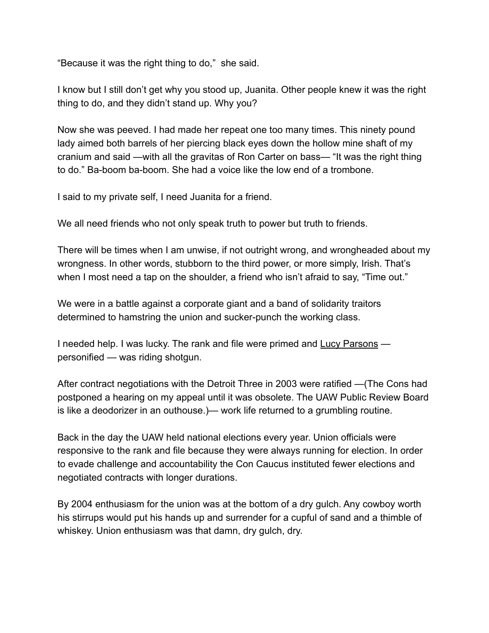"Because it was the right thing to do," she said.

I know but I still don't get why you stood up, Juanita. Other people knew it was the right thing to do, and they didn't stand up. Why you?

Now she was peeved. I had made her repeat one too many times. This ninety pound lady aimed both barrels of her piercing black eyes down the hollow mine shaft of my cranium and said —with all the gravitas of Ron Carter on bass— "It was the right thing to do." Ba-boom ba-boom. She had a voice like the low end of a trombone.

I said to my private self, I need Juanita for a friend.

We all need friends who not only speak truth to power but truth to friends.

There will be times when I am unwise, if not outright wrong, and wrongheaded about my wrongness. In other words, stubborn to the third power, or more simply, Irish. That's when I most need a tap on the shoulder, a friend who isn't afraid to say, "Time out."

We were in a battle against a corporate giant and a band of solidarity traitors determined to hamstring the union and sucker-punch the working class.

I needed help. I was lucky. The rank and file were primed and [Lucy Parsons](https://www.zinnedproject.org/materials/lucy-gonzales-parsons/)  personified — was riding shotgun.

After contract negotiations with the Detroit Three in 2003 were ratified —(The Cons had postponed a hearing on my appeal until it was obsolete. The UAW Public Review Board is like a deodorizer in an outhouse.)— work life returned to a grumbling routine.

Back in the day the UAW held national elections every year. Union officials were responsive to the rank and file because they were always running for election. In order to evade challenge and accountability the Con Caucus instituted fewer elections and negotiated contracts with longer durations.

By 2004 enthusiasm for the union was at the bottom of a dry gulch. Any cowboy worth his stirrups would put his hands up and surrender for a cupful of sand and a thimble of whiskey. Union enthusiasm was that damn, dry gulch, dry.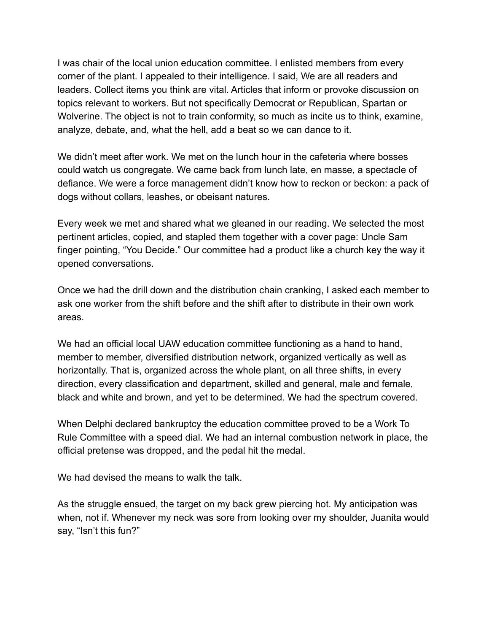I was chair of the local union education committee. I enlisted members from every corner of the plant. I appealed to their intelligence. I said, We are all readers and leaders. Collect items you think are vital. Articles that inform or provoke discussion on topics relevant to workers. But not specifically Democrat or Republican, Spartan or Wolverine. The object is not to train conformity, so much as incite us to think, examine, analyze, debate, and, what the hell, add a beat so we can dance to it.

We didn't meet after work. We met on the lunch hour in the cafeteria where bosses could watch us congregate. We came back from lunch late, en masse, a spectacle of defiance. We were a force management didn't know how to reckon or beckon: a pack of dogs without collars, leashes, or obeisant natures.

Every week we met and shared what we gleaned in our reading. We selected the most pertinent articles, copied, and stapled them together with a cover page: Uncle Sam finger pointing, "You Decide." Our committee had a product like a church key the way it opened conversations.

Once we had the drill down and the distribution chain cranking, I asked each member to ask one worker from the shift before and the shift after to distribute in their own work areas.

We had an official local UAW education committee functioning as a hand to hand, member to member, diversified distribution network, organized vertically as well as horizontally. That is, organized across the whole plant, on all three shifts, in every direction, every classification and department, skilled and general, male and female, black and white and brown, and yet to be determined. We had the spectrum covered.

When Delphi declared bankruptcy the education committee proved to be a Work To Rule Committee with a speed dial. We had an internal combustion network in place, the official pretense was dropped, and the pedal hit the medal.

We had devised the means to walk the talk.

As the struggle ensued, the target on my back grew piercing hot. My anticipation was when, not if. Whenever my neck was sore from looking over my shoulder, Juanita would say, "Isn't this fun?"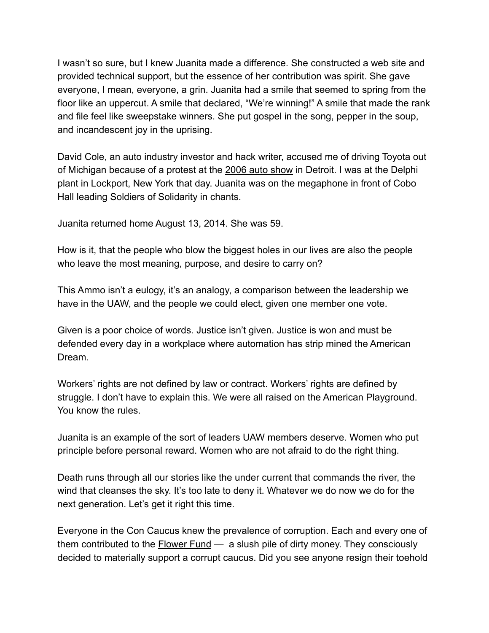I wasn't so sure, but I knew Juanita made a difference. She constructed a web site and provided technical support, but the essence of her contribution was spirit. She gave everyone, I mean, everyone, a grin. Juanita had a smile that seemed to spring from the floor like an uppercut. A smile that declared, "We're winning!" A smile that made the rank and file feel like sweepstake winners. She put gospel in the song, pepper in the soup, and incandescent joy in the uprising.

David Cole, an auto industry investor and hack writer, accused me of driving Toyota out of Michigan because of a protest at the [2006 auto show](https://www.alamy.com/jan-08-2006-detroit-michigan-usa-a-detroit-bus-driver-expresses-support-image65131219.html) in Detroit. I was at the Delphi plant in Lockport, New York that day. Juanita was on the megaphone in front of Cobo Hall leading Soldiers of Solidarity in chants.

Juanita returned home August 13, 2014. She was 59.

How is it, that the people who blow the biggest holes in our lives are also the people who leave the most meaning, purpose, and desire to carry on?

This Ammo isn't a eulogy, it's an analogy, a comparison between the leadership we have in the UAW, and the people we could elect, given one member one vote.

Given is a poor choice of words. Justice isn't given. Justice is won and must be defended every day in a workplace where automation has strip mined the American Dream.

Workers' rights are not defined by law or contract. Workers' rights are defined by struggle. I don't have to explain this. We were all raised on the American Playground. You know the rules.

Juanita is an example of the sort of leaders UAW members deserve. Women who put principle before personal reward. Women who are not afraid to do the right thing.

Death runs through all our stories like the under current that commands the river, the wind that cleanses the sky. It's too late to deny it. Whatever we do now we do for the next generation. Let's get it right this time.

Everyone in the Con Caucus knew the prevalence of corruption. Each and every one of them contributed to the **Flower Fund** — a slush pile of dirty money. They consciously decided to materially support a corrupt caucus. Did you see anyone resign their toehold